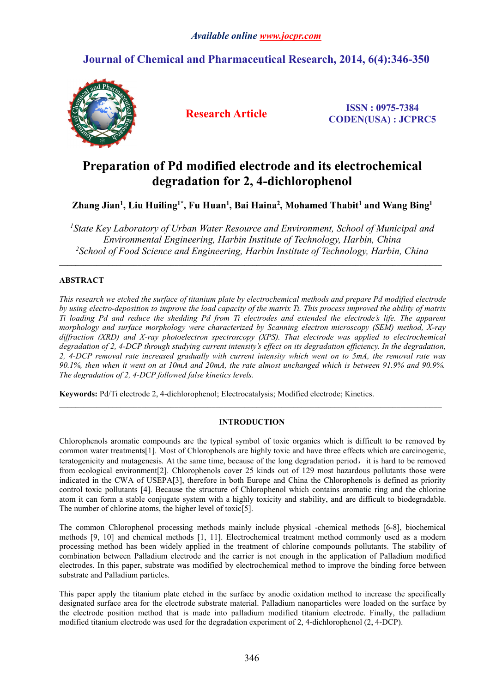## **Journal of Chemical and Pharmaceutical Research, 2014, 6(4):346-350**



**Research Article ISSN : 0975-7384 CODEN(USA) : JCPRC5**

# **Preparation of Pd modified electrode and its electrochemical degradation for 2, 4-dichlorophenol**

## Zhang Jian<sup>1</sup>, Liu Huiling<sup>1\*</sup>, Fu Huan<sup>1</sup>, Bai Haina<sup>2</sup>, Mohamed Thabit<sup>1</sup> and Wang Bing<sup>1</sup>

*<sup>1</sup>State Key Laboratory of Urban Water Resource and Environment, School of Municipal and Environmental Engineering, Harbin Institute of Technology, Harbin, China <sup>2</sup>School of Food Science and Engineering, Harbin Institute of Technology, Harbin, China*

## **ABSTRACT**

This research we etched the surface of titanium plate by electrochemical methods and prepare Pd modified electrode by using electro-deposition to improve the load capacity of the matrix Ti. This process improved the ability of matrix Ti loading Pd and reduce the shedding Pd from Ti electrodes and extended the electrode's life. The apparent *morphology and surface morphology were characterized by Scanning electron microscopy (SEM) method, X-ray diffraction (XRD) and X-ray photoelectron spectroscopy (XPS). That electrode was applied to electrochemical* degradation of 2, 4-DCP through studying current intensity's effect on its degradation efficiency. In the degradation, 2, 4-DCP removal rate increased gradually with current intensity which went on to 5mA, the removal rate was 90.1%, then when it went on at 10mA and 20mA, the rate almost unchanged which is between 91.9% and 90.9%. *The degradation of 2, 4-DCP followed false kinetics levels.*

Keywords: Pd/Ti electrode 2, 4-dichlorophenol; Electrocatalysis; Modified electrode; Kinetics.

## **INTRODUCTION**

 $\_$  , and the state of the state of the state of the state of the state of the state of the state of the state of the state of the state of the state of the state of the state of the state of the state of the state of the

Chlorophenols aromatic compounds are the typical symbol of toxic organics which is difficult to be removed by common water treatments[1]. Most of Chlorophenols are highly toxic and have three effects which are carcinogenic, teratogenicity and mutagenesis. At the same time, because of the long degradation period, it is hard to be removed from ecological environment[2]. Chlorophenols cover 25 kinds outof 129 most hazardous pollutants those were indicated in the CWA of USEPA[3], therefore in both Europe and China the Chlorophenols is defined as priority control toxic pollutants [4]. Because the structure of Chlorophenol which contains aromatic ring and the chlorine atom it can form a stable conjugate system with a highly toxicity and stability, and are difficult to biodegradable. The number of chlorine atoms, the higher level of toxic[5].

The common Chlorophenol processing methods mainly include physical -chemical methods [6-8], biochemical methods [9, 10] and chemical methods [1, 11]. Electrochemical treatment method commonly used as a modern processing method has been widely applied in the treatment of chlorine compounds pollutants. The stability of combination between Palladium electrode and the carrier is not enough in the application of Palladium modified electrodes. In this paper, substrate was modified by electrochemical method to improve the binding force between substrate and Palladium particles.

This paper apply the titanium plate etched in the surface by anodic oxidation method to increase the specifically designated surface area for the electrode substrate material. Palladium nanoparticles were loaded on the surface by the electrode position method that is made into palladium modified titanium electrode. Finally, the palladium modified titanium electrode was used for the degradation experiment of 2, 4-dichlorophenol (2, 4-DCP).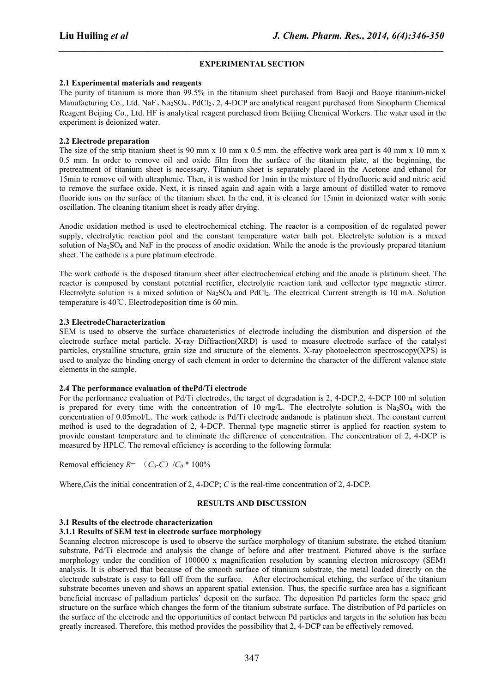### **EXPERIMENTAL SECTION**

*\_\_\_\_\_\_\_\_\_\_\_\_\_\_\_\_\_\_\_\_\_\_\_\_\_\_\_\_\_\_\_\_\_\_\_\_\_\_\_\_\_\_\_\_\_\_\_\_\_\_\_\_\_\_\_\_\_\_\_\_\_\_\_\_\_\_\_\_\_\_\_\_\_\_\_\_\_\_*

#### **2.1 Experimental materials and reagents**

The purity of titanium is more than 99.5% in the titanium sheet purchased from Baoji and Baoye titanium-nickel Manufacturing Co., Ltd. NaF, Na<sub>2</sub>SO<sub>4</sub>, PdCl<sub>2</sub>, 2, 4-DCP are analytical reagent purchased from Sinopharm Chemical Reagent Beijing Co., Ltd. HF is analytical reagent purchased from Beijing Chemical Workers. The water used in the experiment is deionized water.

#### **2.2 Electrode preparation**

The size of the strip titanium sheet is 90 mm x 10 mm x 0.5 mm. the effective work area part is 40 mm x 10 mm x 0.5 mm. In order to remove oil and oxide film from the surface of the titanium plate, at the beginning, the pretreatment of titanium sheet is necessary. Titanium sheet is separately placed in the Acetone and ethanol for 15min to remove oil with ultraphonic. Then, it is washed for 1min in the mixture of Hydrofluoric acid and nitric acid to remove the surface oxide. Next, it is rinsed again and again with a large amount of distilled water to remove fluoride ions on the surface of the titanium sheet. In the end, it is cleaned for 15min in deionized water with sonic oscillation. The cleaning titanium sheet is ready after drying.

Anodic oxidation method is used to electrochemical etching. The reactor is a composition of dc regulated power supply, electrolytic reaction pool and the constant temperature water bath pot. Electrolyte solution is a mixed solution of Na<sub>2</sub>SO<sub>4</sub> and NaF in the process of anodic oxidation. While the anode is the previously prepared titanium sheet. The cathode is a pure platinum electrode.

The work cathode is the disposed titanium sheet after electrochemical etching and the anode is platinum sheet. The reactor is composed by constant potential rectifier, electrolytic reaction tank and collector type magnetic stirrer. Electrolyte solution is a mixed solution of Na2SO<sup>4</sup> and PdCl2. The electrical Current strength is 10 mA. Solution temperature is 40℃. Electrodeposition time is 60 min.

## **2.3 ElectrodeCharacterization**

SEM is used to observe the surface characteristics of electrode including the distribution and dispersion of the electrode surface metal particle. X-ray Diffraction(XRD) is used to measure electrode surface of the catalyst particles, crystalline structure, grain size and structure of the elements. X-ray photoelectron spectroscopy(XPS) is used to analyze the binding energy of each element in order to determine the character of the different valence state elements in the sample.

#### **2.4 The performance evaluation of thePd/Ti electrode**

For the performance evaluation of Pd/Ti electrodes, the target of degradation is 2, 4-DCP.2, 4-DCP 100 ml solution is prepared for every time with the concentration of 10 mg/L. The electrolyte solution is Na2SO<sup>4</sup> with the concentration of 0.05mol/L. The work cathode is Pd/Ti electrode andanode is platinum sheet. The constant current method is used to the degradation of 2, 4-DCP. Thermal type magnetic stirrer is applied for reaction system to provide constant temperature and to eliminate the difference of concentration. The concentration of 2, 4-DCP is measured by HPLC. The removal efficiency is according to the following formula:

Removal efficiency  $R=$   $(C_0-C)/C_0$  \* 100%

Where,*C0*is the initial concentration of 2, 4-DCP; *C* is the real-time concentration of 2, 4-DCP.

## **RESULTS AND DISCUSSION**

## **3.1** Results of the electrode characterization

### **3.1.1 Results ofSEM test in electrode surface morphology**

Scanning electron microscope is used to observe the surface morphology of titanium substrate, the etched titanium substrate, Pd/Ti electrode and analysis the change of before and after treatment. Pictured above is the surface morphology under the condition of 100000 x magnification resolution by scanning electron microscopy (SEM) analysis. It is observed that because of the smooth surface of titanium substrate, the metal loaded directly on the electrode substrate is easy to fall off from the surface. After electrochemical etching, the surface of the titanium substrate becomes uneven and shows an apparent spatial extension. Thus, the specific surface area has a significant beneficial increase of palladium particles' deposit on the surface. The deposition Pd particles form the space grid structure on the surface which changes the form of the titanium substrate surface. The distribution of Pd particles on the surface of the electrode and the opportunities of contact between Pd particles and targets in the solution has been greatly increased. Therefore, this method provides the possibility that 2, 4-DCP can be effectively removed.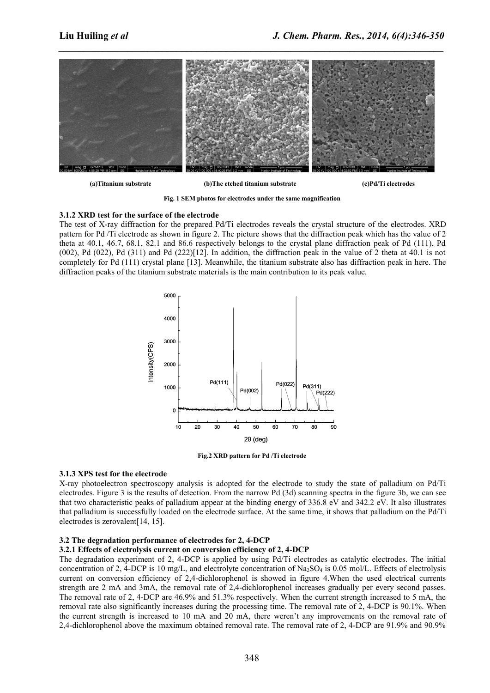*\_\_\_\_\_\_\_\_\_\_\_\_\_\_\_\_\_\_\_\_\_\_\_\_\_\_\_\_\_\_\_\_\_\_\_\_\_\_\_\_\_\_\_\_\_\_\_\_\_\_\_\_\_\_\_\_\_\_\_\_\_\_\_\_\_\_\_\_\_\_\_\_\_\_\_\_\_\_*



**(a)Titanium substrate (b)The etched titanium substrate (c)Pd/Ti electrodes**

**Fig. 1 SEM photos for electrodes under the same magnification**

#### **3.1.2 XRD test for the surface of the electrode**

The test of X-ray diffraction for the prepared Pd/Ti electrodes reveals the crystal structure of the electrodes. XRD pattern for Pd /Tielectrode as shown in figure 2.The picture shows that the diffraction peak which has the value of 2 theta at 40.1, 46.7, 68.1, 82.1 and 86.6 respectively belongs to the crystal plane diffraction peak of Pd (111), Pd  $(002)$ , Pd  $(022)$ , Pd  $(311)$  and Pd  $(222)[12]$ . In addition, the diffraction peak in the value of 2 theta at 40.1 is not completely for Pd (111) crystal plane [13]. Meanwhile, the titanium substrate also has diffraction peak in here. The diffraction peaks of the titanium substrate materials is the main contribution to its peak value.



**Fig.2 XRD pattern for Pd /Ti electrode**

#### **3.1.3 XPS test for the electrode**

X-ray photoelectron spectroscopy analysis is adopted for the electrode to study the state of palladium on Pd/Ti electrodes. Figure 3 is the results of detection. From the narrow Pd  $(3d)$  scanning spectra in the figure 3b, we can see that two characteristic peaks of palladium appear at the binding energy of  $336.8$  eV and  $342.2$  eV. It also illustrates that palladium is successfully loaded on the electrode surface. At the same time, it shows that palladium on the Pd/Ti electrodes is zerovalent[14, 15].

#### **3.2 The degradation performance of electrodes for 2, 4-DCP**

#### **3.2.1 Effects of electrolysis current on conversion efficiency of 2, 4-DCP**

The degradation experiment of 2, 4-DCP is applied by using Pd/Ti electrodes as catalytic electrodes. The initial concentration of 2, 4-DCP is 10 mg/L, and electrolyte concentration of Na2SO<sup>4</sup> is 0.05 mol/L. Effects of electrolysis current on conversion efficiency of 2,4-dichlorophenol is showed in figure 4. When the used electrical currents strength are 2 mA and 3mA, the removal rate of 2,4-dichlorophenol increases gradually per every second passes. The removal rate of 2, 4-DCP are 46.9% and 51.3% respectively. When the current strength increased to 5 mA, the removal rate also significantly increases during the processing time. The removal rate of 2, 4-DCP is 90.1%. When the current strength is increased to 10 mA and 20 mA, there weren't any improvements on the removal rate of 2,4-dichlorophenol above the maximum obtained removal rate. The removal rate of 2, 4-DCP are 91.9% and 90.9%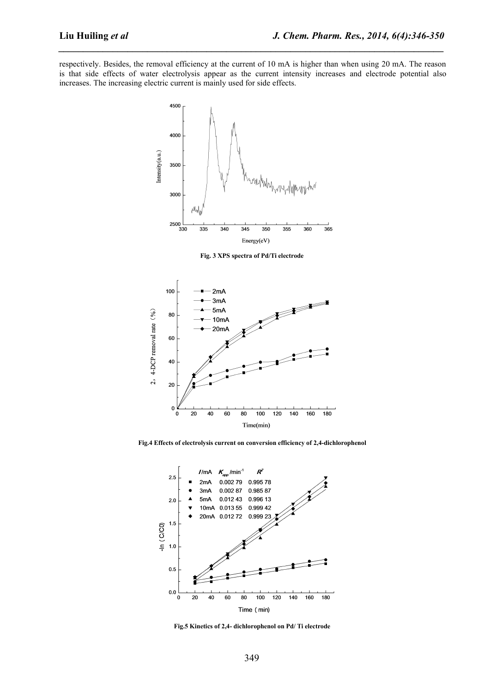respectively. Besides, the removal efficiency at the current of 10 mA is higher than when using 20 mA. The reason is that side effects of water electrolysis appear as the current intensity increases and electrode potential also increases. The increasing electric current is mainly used for side effects.

*\_\_\_\_\_\_\_\_\_\_\_\_\_\_\_\_\_\_\_\_\_\_\_\_\_\_\_\_\_\_\_\_\_\_\_\_\_\_\_\_\_\_\_\_\_\_\_\_\_\_\_\_\_\_\_\_\_\_\_\_\_\_\_\_\_\_\_\_\_\_\_\_\_\_\_\_\_\_*



**Fig. 3 XPS spectra of Pd/Ti electrode**



**Fig.4 Effects ofelectrolysis current on conversion efficiency of 2,4-dichlorophenol**



**Fig.5 Kinetics of2,4- dichlorophenol on Pd/ Ti electrode**